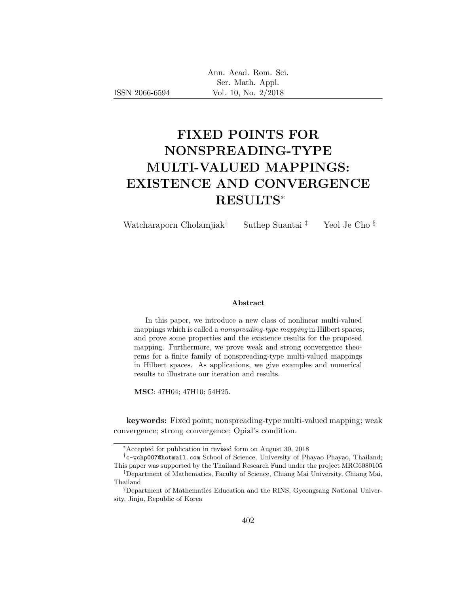| Ann. Acad. Rom. Sci. |                     |  |
|----------------------|---------------------|--|
|                      | Ser. Math. Appl.    |  |
|                      | Vol. 10, No. 2/2018 |  |

# FIXED POINTS FOR NONSPREADING-TYPE MULTI-VALUED MAPPINGS: EXISTENCE AND CONVERGENCE RESULTS<sup>∗</sup>

Watcharaporn Cholamjiak<sup>†</sup> Suthep Suantai<sup>‡</sup> Yeol Je Cho §

#### Abstract

In this paper, we introduce a new class of nonlinear multi-valued mappings which is called a nonspreading-type mapping in Hilbert spaces, and prove some properties and the existence results for the proposed mapping. Furthermore, we prove weak and strong convergence theorems for a finite family of nonspreading-type multi-valued mappings in Hilbert spaces. As applications, we give examples and numerical results to illustrate our iteration and results.

MSC: 47H04; 47H10; 54H25.

keywords: Fixed point; nonspreading-type multi-valued mapping; weak convergence; strong convergence; Opial's condition.

<sup>∗</sup>Accepted for publication in revised form on August 30, 2018

<sup>†</sup> c-wchp007@hotmail.com School of Science, University of Phayao Phayao, Thailand; This paper was supported by the Thailand Research Fund under the project MRG6080105

<sup>‡</sup>Department of Mathematics, Faculty of Science, Chiang Mai University, Chiang Mai, Thailand

<sup>§</sup>Department of Mathematics Education and the RINS, Gyeongsang National University, Jinju, Republic of Korea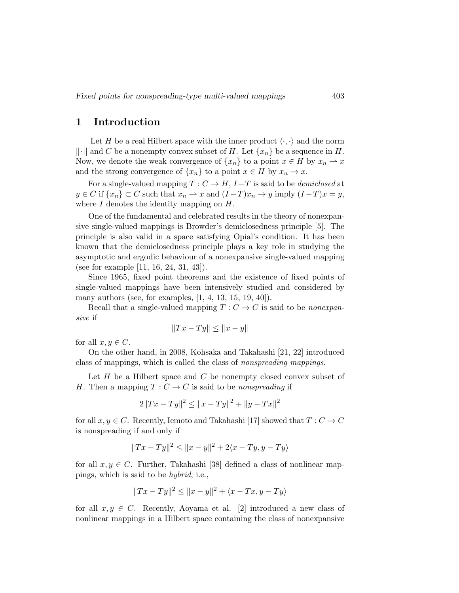#### 1 Introduction

Let H be a real Hilbert space with the inner product  $\langle \cdot, \cdot \rangle$  and the norm  $\|\cdot\|$  and C be a nonempty convex subset of H. Let  $\{x_n\}$  be a sequence in H. Now, we denote the weak convergence of  $\{x_n\}$  to a point  $x \in H$  by  $x_n \to x$ and the strong convergence of  $\{x_n\}$  to a point  $x \in H$  by  $x_n \to x$ .

For a single-valued mapping  $T: C \to H$ ,  $I-T$  is said to be *demiclosed* at  $y \in C$  if  $\{x_n\} \subset C$  such that  $x_n \to x$  and  $(I-T)x_n \to y$  imply  $(I-T)x = y$ , where  $I$  denotes the identity mapping on  $H$ .

One of the fundamental and celebrated results in the theory of nonexpansive single-valued mappings is Browder's demiclosedness principle [5]. The principle is also valid in a space satisfying Opial's condition. It has been known that the demiclosedness principle plays a key role in studying the asymptotic and ergodic behaviour of a nonexpansive single-valued mapping (see for example [11, 16, 24, 31, 43]).

Since 1965, fixed point theorems and the existence of fixed points of single-valued mappings have been intensively studied and considered by many authors (see, for examples, [1, 4, 13, 15, 19, 40]).

Recall that a single-valued mapping  $T: C \to C$  is said to be *nonexpan*sive if

$$
||Tx - Ty|| \le ||x - y||
$$

for all  $x, y \in C$ .

On the other hand, in 2008, Kohsaka and Takahashi [21, 22] introduced class of mappings, which is called the class of nonspreading mappings.

Let  $H$  be a Hilbert space and  $C$  be nonempty closed convex subset of H. Then a mapping  $T: C \to C$  is said to be nonspreading if

$$
2||Tx - Ty||^2 \le ||x - Ty||^2 + ||y - Tx||^2
$$

for all  $x, y \in C$ . Recently, Iemoto and Takahashi [17] showed that  $T: C \to C$ is nonspreading if and only if

$$
||Tx - Ty||^{2} \le ||x - y||^{2} + 2\langle x - Ty, y - Ty\rangle
$$

for all  $x, y \in C$ . Further, Takahashi [38] defined a class of nonlinear mappings, which is said to be hybrid, i.e.,

$$
||Tx - Ty||^{2} \le ||x - y||^{2} + \langle x - Tx, y - Ty \rangle
$$

for all  $x, y \in C$ . Recently, Aoyama et al. [2] introduced a new class of nonlinear mappings in a Hilbert space containing the class of nonexpansive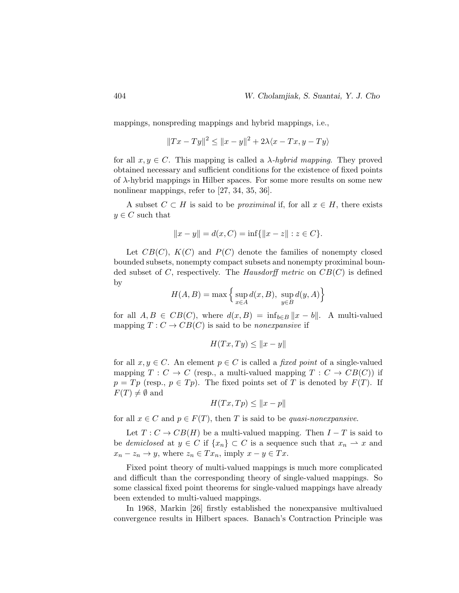mappings, nonspreding mappings and hybrid mappings, i.e.,

$$
||Tx - Ty||^{2} \le ||x - y||^{2} + 2\lambda \langle x - Tx, y - Ty \rangle
$$

for all  $x, y \in C$ . This mapping is called a  $\lambda$ -hybrid mapping. They proved obtained necessary and sufficient conditions for the existence of fixed points of  $\lambda$ -hybrid mappings in Hilber spaces. For some more results on some new nonlinear mappings, refer to [27, 34, 35, 36].

A subset  $C \subset H$  is said to be *proximinal* if, for all  $x \in H$ , there exists  $y \in C$  such that

$$
||x - y|| = d(x, C) = \inf\{||x - z|| : z \in C\}.
$$

Let  $CB(C)$ ,  $K(C)$  and  $P(C)$  denote the families of nonempty closed bounded subsets, nonempty compact subsets and nonempty proximinal bounded subset of C, respectively. The Hausdorff metric on  $CB(C)$  is defined by

$$
H(A, B) = \max \left\{ \sup_{x \in A} d(x, B), \sup_{y \in B} d(y, A) \right\}
$$

for all  $A, B \in CB(C)$ , where  $d(x, B) = \inf_{b \in B} ||x - b||$ . A multi-valued mapping  $T: C \to CB(C)$  is said to be *nonexpansive* if

$$
H(Tx, Ty) \le ||x - y||
$$

for all  $x, y \in C$ . An element  $p \in C$  is called a *fixed point* of a single-valued mapping  $T: C \to C$  (resp., a multi-valued mapping  $T: C \to CB(C)$ ) if  $p = Tp$  (resp.,  $p \in Tp$ ). The fixed points set of T is denoted by  $F(T)$ . If  $F(T) \neq \emptyset$  and

$$
H(Tx,Tp) \le ||x - p||
$$

for all  $x \in C$  and  $p \in F(T)$ , then T is said to be *quasi-nonexpansive*.

Let  $T: C \to CB(H)$  be a multi-valued mapping. Then  $I-T$  is said to be demiclosed at  $y \in C$  if  $\{x_n\} \subset C$  is a sequence such that  $x_n \rightharpoonup x$  and  $x_n - z_n \to y$ , where  $z_n \in Tx_n$ , imply  $x - y \in Tx$ .

Fixed point theory of multi-valued mappings is much more complicated and difficult than the corresponding theory of single-valued mappings. So some classical fixed point theorems for single-valued mappings have already been extended to multi-valued mappings.

In 1968, Markin [26] firstly established the nonexpansive multivalued convergence results in Hilbert spaces. Banach's Contraction Principle was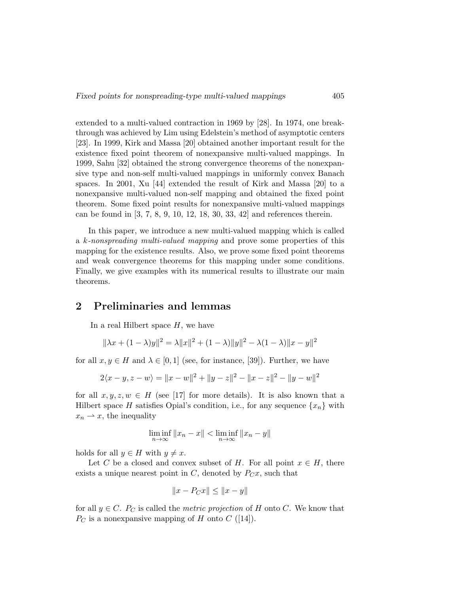extended to a multi-valued contraction in 1969 by [28]. In 1974, one breakthrough was achieved by Lim using Edelstein's method of asymptotic centers [23]. In 1999, Kirk and Massa [20] obtained another important result for the existence fixed point theorem of nonexpansive multi-valued mappings. In 1999, Sahu [32] obtained the strong convergence theorems of the nonexpansive type and non-self multi-valued mappings in uniformly convex Banach spaces. In 2001, Xu [44] extended the result of Kirk and Massa [20] to a nonexpansive multi-valued non-self mapping and obtained the fixed point theorem. Some fixed point results for nonexpansive multi-valued mappings can be found in [3, 7, 8, 9, 10, 12, 18, 30, 33, 42] and references therein.

In this paper, we introduce a new multi-valued mapping which is called a k-nonspreading multi-valued mapping and prove some properties of this mapping for the existence results. Also, we prove some fixed point theorems and weak convergence theorems for this mapping under some conditions. Finally, we give examples with its numerical results to illustrate our main theorems.

### 2 Preliminaries and lemmas

In a real Hilbert space  $H$ , we have

$$
\|\lambda x + (1 - \lambda)y\|^2 = \lambda \|x\|^2 + (1 - \lambda)\|y\|^2 - \lambda(1 - \lambda)\|x - y\|^2
$$

for all  $x, y \in H$  and  $\lambda \in [0, 1]$  (see, for instance, [39]). Further, we have

$$
2\langle x-y, z-w\rangle = \|x-w\|^2 + \|y-z\|^2 - \|x-z\|^2 - \|y-w\|^2
$$

for all  $x, y, z, w \in H$  (see [17] for more details). It is also known that a Hilbert space H satisfies Opial's condition, i.e., for any sequence  $\{x_n\}$  with  $x_n \rightharpoonup x$ , the inequality

$$
\liminf_{n \to \infty} ||x_n - x|| < \liminf_{n \to \infty} ||x_n - y||
$$

holds for all  $y \in H$  with  $y \neq x$ .

Let C be a closed and convex subset of H. For all point  $x \in H$ , there exists a unique nearest point in  $C$ , denoted by  $P_{C}x$ , such that

$$
||x - P_Cx|| \le ||x - y||
$$

for all  $y \in C$ .  $P_C$  is called the *metric projection* of H onto C. We know that  $P_C$  is a nonexpansive mapping of H onto C ([14]).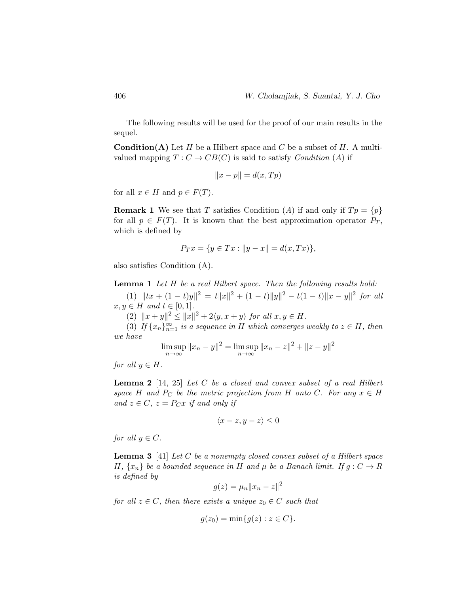The following results will be used for the proof of our main results in the sequel.

**Condition(A)** Let H be a Hilbert space and C be a subset of H. A multivalued mapping  $T: C \to CB(C)$  is said to satisfy *Condition* (A) if

$$
||x - p|| = d(x, Tp)
$$

for all  $x \in H$  and  $p \in F(T)$ .

**Remark 1** We see that T satisfies Condition (A) if and only if  $Tp = \{p\}$ for all  $p \in F(T)$ . It is known that the best approximation operator  $P_T$ , which is defined by

$$
P_T x = \{ y \in Tx : ||y - x|| = d(x, Tx) \},
$$

also satisfies Condition (A).

Lemma 1 Let H be a real Hilbert space. Then the following results hold:

(1)  $||tx + (1-t)y||^2 = t||x||^2 + (1-t)||y||^2 - t(1-t)||x - y||^2$  for all  $x, y \in H$  and  $t \in [0, 1]$ .

(2)  $||x + y||^2 \le ||x||^2 + 2\langle y, x + y \rangle$  for all  $x, y \in H$ .

(3) If  $\{x_n\}_{n=1}^{\infty}$  is a sequence in H which converges weakly to  $z \in H$ , then we have

$$
\limsup_{n \to \infty} ||x_n - y||^2 = \limsup_{n \to \infty} ||x_n - z||^2 + ||z - y||^2
$$

for all  $y \in H$ .

**Lemma 2** [14, 25] Let  $C$  be a closed and convex subset of a real Hilbert space H and  $P_C$  be the metric projection from H onto C. For any  $x \in H$ and  $z \in C$ ,  $z = P_C x$  if and only if

$$
\langle x-z, y-z \rangle \le 0
$$

for all  $y \in C$ .

**Lemma 3** [41] Let C be a nonempty closed convex subset of a Hilbert space H,  $\{x_n\}$  be a bounded sequence in H and  $\mu$  be a Banach limit. If  $g: C \to R$ is defined by

$$
g(z) = \mu_n ||x_n - z||^2
$$

for all  $z \in C$ , then there exists a unique  $z_0 \in C$  such that

$$
g(z_0) = \min\{g(z) : z \in C\}.
$$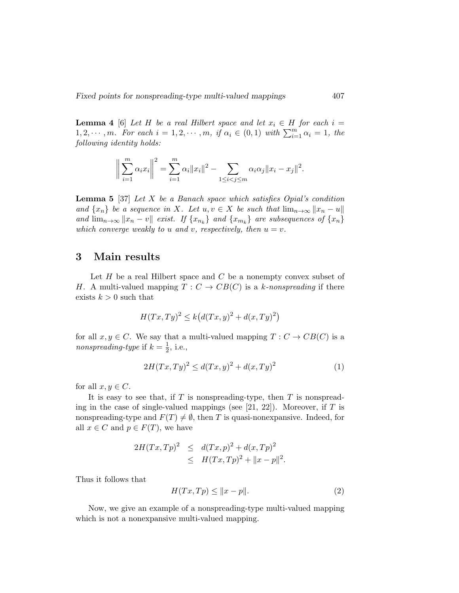**Lemma 4** [6] Let H be a real Hilbert space and let  $x_i \in H$  for each  $i =$  $1, 2, \cdots, m$ . For each  $i = 1, 2, \cdots, m$ , if  $\alpha_i \in (0, 1)$  with  $\sum_{i=1}^{m} \alpha_i = 1$ , the following identity holds:

$$
\left\| \sum_{i=1}^{m} \alpha_i x_i \right\|^2 = \sum_{i=1}^{m} \alpha_i \|x_i\|^2 - \sum_{1 \le i < j \le m} \alpha_i \alpha_j \|x_i - x_j\|^2.
$$

**Lemma 5** [37] Let X be a Banach space which satisfies Opial's condition and  $\{x_n\}$  be a sequence in X. Let  $u, v \in X$  be such that  $\lim_{n\to\infty} ||x_n - u||$ and  $\lim_{n\to\infty} ||x_n - v||$  exist. If  $\{x_{n_k}\}\$  and  $\{x_{m_k}\}\$  are subsequences of  $\{x_n\}\$ which converge weakly to u and v, respectively, then  $u = v$ .

#### 3 Main results

Let  $H$  be a real Hilbert space and  $C$  be a nonempty convex subset of H. A multi-valued mapping  $T: C \to CB(C)$  is a k-nonspreading if there exists  $k > 0$  such that

$$
H(Tx, Ty)^2 \le k\big(d(Tx, y)^2 + d(x, Ty)^2\big)
$$

for all  $x, y \in C$ . We say that a multi-valued mapping  $T : C \to CB(C)$  is a nonspreading-type if  $k=\frac{1}{2}$  $\frac{1}{2}$ , i.e.,

$$
2H(Tx,Ty)^{2} \le d(Tx,y)^{2} + d(x,Ty)^{2}
$$
 (1)

for all  $x, y \in C$ .

It is easy to see that, if  $T$  is nonspreading-type, then  $T$  is nonspreading in the case of single-valued mappings (see  $[21, 22]$ ). Moreover, if T is nonspreading-type and  $F(T) \neq \emptyset$ , then T is quasi-nonexpansive. Indeed, for all  $x \in C$  and  $p \in F(T)$ , we have

$$
2H(Tx,Tp)^{2} \leq d(Tx,p)^{2} + d(x,Tp)^{2}
$$
  
 
$$
\leq H(Tx,Tp)^{2} + ||x-p||^{2}.
$$

Thus it follows that

$$
H(Tx, Tp) \le ||x - p||. \tag{2}
$$

Now, we give an example of a nonspreading-type multi-valued mapping which is not a nonexpansive multi-valued mapping.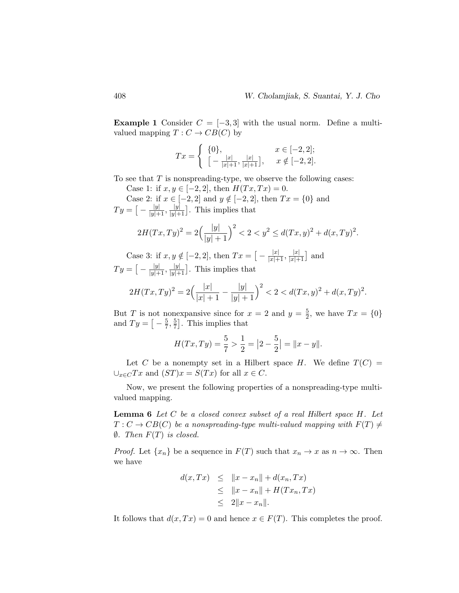**Example 1** Consider  $C = [-3, 3]$  with the usual norm. Define a multivalued mapping  $T: C \to CB(C)$  by

$$
Tx = \begin{cases} \{0\}, & x \in [-2,2]; \\ \left[ -\frac{|x|}{|x|+1}, \frac{|x|}{|x|+1} \right], & x \notin [-2,2]. \end{cases}
$$

To see that  $T$  is nonspreading-type, we observe the following cases:

Case 1: if  $x, y \in [-2, 2]$ , then  $H(Tx, Tx) = 0$ .

Case 2: if  $x \in [-2, 2]$  and  $y \notin [-2, 2]$ , then  $Tx = \{0\}$  and  $Ty = \big[-\frac{|y|}{|y|+1}, \frac{|y|}{|y|+1}\big]$  $\frac{|y|}{|y|+1}$ . This implies that

$$
2H(Tx,Ty)^2 = 2\left(\frac{|y|}{|y|+1}\right)^2 < 2 < y^2 \le d(Tx,y)^2 + d(x,Ty)^2.
$$

Case 3: if  $x, y \notin [-2, 2]$ , then  $Tx = \left[ -\frac{|x|}{|x|+1}, \frac{|x|}{|x|+1} \right]$  $\frac{|x|}{|x|+1}$  and  $Ty = \big[-\frac{|y|}{|y|+1}, \frac{|y|}{|y|+1}\big]$  $\frac{|y|}{|y|+1}$ . This implies that

$$
2H(Tx,Ty)^2 = 2\left(\frac{|x|}{|x|+1} - \frac{|y|}{|y|+1}\right)^2 < 2 < d(Tx,y)^2 + d(x,Ty)^2.
$$

But T is not nonexpansive since for  $x = 2$  and  $y = \frac{5}{2}$  $\frac{5}{2}$ , we have  $Tx = \{0\}$ and  $Ty = \left[-\frac{5}{7}\right]$  $\frac{5}{7}, \frac{5}{7}$  $\frac{5}{7}$ . This implies that

$$
H(Tx,Ty) = \frac{5}{7} > \frac{1}{2} = |2 - \frac{5}{2}| = ||x - y||.
$$

Let C be a nonempty set in a Hilbert space H. We define  $T(C)$  =  $\bigcup_{x \in C} Tx$  and  $(ST)x = S(Tx)$  for all  $x \in C$ .

Now, we present the following properties of a nonspreading-type multivalued mapping.

**Lemma 6** Let  $C$  be a closed convex subset of a real Hilbert space  $H$ . Let  $T: C \to CB(C)$  be a nonspreading-type multi-valued mapping with  $F(T) \neq$  $\emptyset$ . Then  $F(T)$  is closed.

*Proof.* Let  $\{x_n\}$  be a sequence in  $F(T)$  such that  $x_n \to x$  as  $n \to \infty$ . Then we have

$$
d(x,Tx) \leq ||x - x_n|| + d(x_n,Tx)
$$
  
\n
$$
\leq ||x - x_n|| + H(Tx_n,Tx)
$$
  
\n
$$
\leq 2||x - x_n||.
$$

It follows that  $d(x,Tx) = 0$  and hence  $x \in F(T)$ . This completes the proof.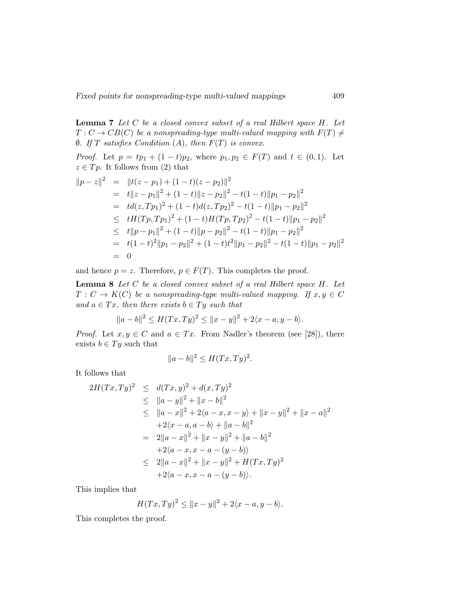**Lemma 7** Let  $C$  be a closed convex subset of a real Hilbert space  $H$ . Let  $T: C \to CB(C)$  be a nonspreading-type multi-valued mapping with  $F(T) \neq$  $\emptyset$ . If T satisfies Condition (A), then  $F(T)$  is convex.

*Proof.* Let  $p = tp_1 + (1 - t)p_2$ , where  $p_1, p_2 \in F(T)$  and  $t \in (0, 1)$ . Let  $z \in T_p$ . It follows from (2) that

$$
||p - z||^2 = ||t(z - p_1) + (1 - t)(z - p_2)||^2
$$
  
=  $t||z - p_1||^2 + (1 - t)||z - p_2||^2 - t(1 - t)||p_1 - p_2||^2$   
=  $td(z, Tp_1)^2 + (1 - t)d(z, Tp_2)^2 - t(1 - t)||p_1 - p_2||^2$   
 $\leq tH(Tp, Tp_1)^2 + (1 - t)H(Tp, Tp_2)^2 - t(1 - t)||p_1 - p_2||^2$   
 $\leq t||p - p_1||^2 + (1 - t)||p - p_2||^2 - t(1 - t)||p_1 - p_2||^2$   
=  $t(1 - t)^2||p_1 - p_2||^2 + (1 - t)t^2||p_1 - p_2||^2 - t(1 - t)||p_1 - p_2||^2$   
= 0

and hence  $p = z$ . Therefore,  $p \in F(T)$ . This completes the proof.

**Lemma 8** Let  $C$  be a closed convex subset of a real Hilbert space  $H$ . Let  $T: C \to K(C)$  be a nonspreading-type multi-valued mapping. If  $x, y \in C$ and  $a \in Tx$ , then there exists  $b \in Ty$  such that

$$
||a-b||^2 \le H(Tx,Ty)^2 \le ||x-y||^2 + 2\langle x-a,y-b\rangle.
$$

*Proof.* Let  $x, y \in C$  and  $a \in Tx$ . From Nadler's theorem (see [28]), there exists  $b \in Ty$  such that

$$
||a-b||^2 \le H(Tx,Ty)^2.
$$

It follows that

$$
2H(Tx,Ty)^2 \le d(Tx,y)^2 + d(x,Ty)^2
$$
  
\n
$$
\le ||a-y||^2 + ||x-b||^2
$$
  
\n
$$
\le ||a-x||^2 + 2\langle a-x, x-y \rangle + ||x-y||^2 + ||x-a||^2
$$
  
\n
$$
+2\langle x-a, a-b \rangle + ||a-b||^2
$$
  
\n
$$
= 2||a-x||^2 + ||x-y||^2 + ||a-b||^2
$$
  
\n
$$
+2\langle a-x, x-a-(y-b) \rangle
$$
  
\n
$$
\le 2||a-x||^2 + ||x-y||^2 + H(Tx,Ty)^2
$$
  
\n
$$
+2\langle a-x, x-a-(y-b) \rangle.
$$

This implies that

$$
H(Tx,Ty)^{2} \le ||x-y||^{2} + 2\langle x-a, y-b \rangle.
$$

This completes the proof.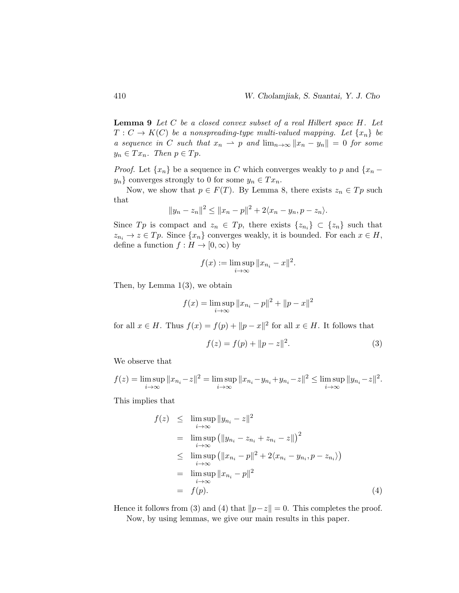**Lemma 9** Let  $C$  be a closed convex subset of a real Hilbert space  $H$ . Let  $T: C \to K(C)$  be a nonspreading-type multi-valued mapping. Let  $\{x_n\}$  be a sequence in C such that  $x_n \rightharpoonup p$  and  $\lim_{n\to\infty} ||x_n - y_n|| = 0$  for some  $y_n \in Tx_n$ . Then  $p \in T_p$ .

*Proof.* Let  $\{x_n\}$  be a sequence in C which converges weakly to p and  $\{x_n$  $y_n$ } converges strongly to 0 for some  $y_n \in Tx_n$ .

Now, we show that  $p \in F(T)$ . By Lemma 8, there exists  $z_n \in T_p$  such that

$$
||y_n - z_n||^2 \le ||x_n - p||^2 + 2\langle x_n - y_n, p - z_n \rangle.
$$

Since  $Tp$  is compact and  $z_n \in T_p$ , there exists  $\{z_{n_i}\}\subset \{z_n\}$  such that  $z_{n_i} \to z \in T_p$ . Since  $\{x_n\}$  converges weakly, it is bounded. For each  $x \in H$ , define a function  $f : H \to [0, \infty)$  by

$$
f(x) := \limsup_{i \to \infty} ||x_{n_i} - x||^2.
$$

Then, by Lemma 1(3), we obtain

$$
f(x) = \limsup_{i \to \infty} ||x_{n_i} - p||^2 + ||p - x||^2
$$

for all  $x \in H$ . Thus  $f(x) = f(p) + ||p - x||^2$  for all  $x \in H$ . It follows that

$$
f(z) = f(p) + ||p - z||^2.
$$
 (3)

We observe that

$$
f(z) = \limsup_{i \to \infty} ||x_{n_i} - z||^2 = \limsup_{i \to \infty} ||x_{n_i} - y_{n_i} + y_{n_i} - z||^2 \le \limsup_{i \to \infty} ||y_{n_i} - z||^2.
$$

This implies that

$$
f(z) \leq \limsup_{i \to \infty} \|y_{n_i} - z\|^2
$$
  
\n
$$
= \limsup_{i \to \infty} (||y_{n_i} - z_{n_i} + z_{n_i} - z||)^2
$$
  
\n
$$
\leq \limsup_{i \to \infty} (||x_{n_i} - p||^2 + 2\langle x_{n_i} - y_{n_i}, p - z_{n_i} \rangle)
$$
  
\n
$$
= \limsup_{i \to \infty} ||x_{n_i} - p||^2
$$
  
\n
$$
= f(p). \tag{4}
$$

Hence it follows from (3) and (4) that  $\|p-z\| = 0$ . This completes the proof. Now, by using lemmas, we give our main results in this paper.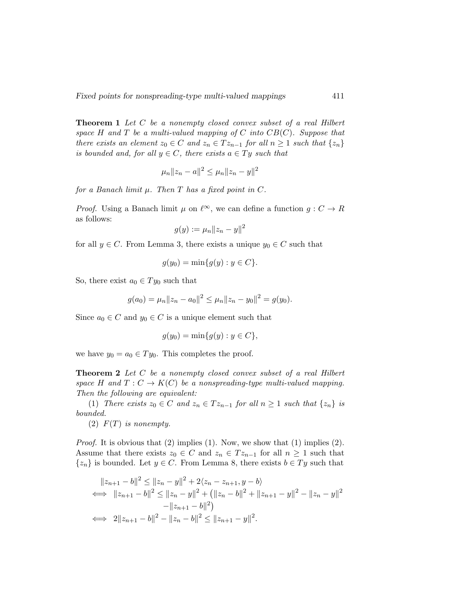Theorem 1 Let C be a nonempty closed convex subset of a real Hilbert space H and T be a multi-valued mapping of C into  $CB(C)$ . Suppose that there exists an element  $z_0 \in C$  and  $z_n \in T z_{n-1}$  for all  $n \geq 1$  such that  $\{z_n\}$ is bounded and, for all  $y \in C$ , there exists  $a \in Ty$  such that

$$
\mu_n ||z_n - a||^2 \le \mu_n ||z_n - y||^2
$$

for a Banach limit  $\mu$ . Then T has a fixed point in C.

*Proof.* Using a Banach limit  $\mu$  on  $\ell^{\infty}$ , we can define a function  $g : C \to R$ as follows:

$$
g(y) := \mu_n \|z_n - y\|^2
$$

for all  $y \in C$ . From Lemma 3, there exists a unique  $y_0 \in C$  such that

$$
g(y_0) = \min\{g(y) : y \in C\}.
$$

So, there exist  $a_0 \in Ty_0$  such that

$$
g(a_0) = \mu_n ||z_n - a_0||^2 \le \mu_n ||z_n - y_0||^2 = g(y_0).
$$

Since  $a_0 \in C$  and  $y_0 \in C$  is a unique element such that

$$
g(y_0) = \min\{g(y) : y \in C\},\
$$

we have  $y_0 = a_0 \in Ty_0$ . This completes the proof.

**Theorem 2** Let C be a nonempty closed convex subset of a real Hilbert space H and  $T: C \to K(C)$  be a nonspreading-type multi-valued mapping. Then the following are equivalent:

(1) There exists  $z_0 \in C$  and  $z_n \in T z_{n-1}$  for all  $n \geq 1$  such that  $\{z_n\}$  is bounded.

(2)  $F(T)$  is nonempty.

*Proof.* It is obvious that  $(2)$  implies  $(1)$ . Now, we show that  $(1)$  implies  $(2)$ . Assume that there exists  $z_0 \in C$  and  $z_n \in T z_{n-1}$  for all  $n \geq 1$  such that  $\{z_n\}$  is bounded. Let  $y \in C$ . From Lemma 8, there exists  $b \in Ty$  such that

$$
||z_{n+1} - b||^2 \le ||z_n - y||^2 + 2\langle z_n - z_{n+1}, y - b \rangle
$$
  
\n
$$
\iff ||z_{n+1} - b||^2 \le ||z_n - y||^2 + (||z_n - b||^2 + ||z_{n+1} - y||^2 - ||z_n - y||^2
$$
  
\n
$$
-||z_{n+1} - b||^2)
$$
  
\n
$$
\iff 2||z_{n+1} - b||^2 - ||z_n - b||^2 \le ||z_{n+1} - y||^2.
$$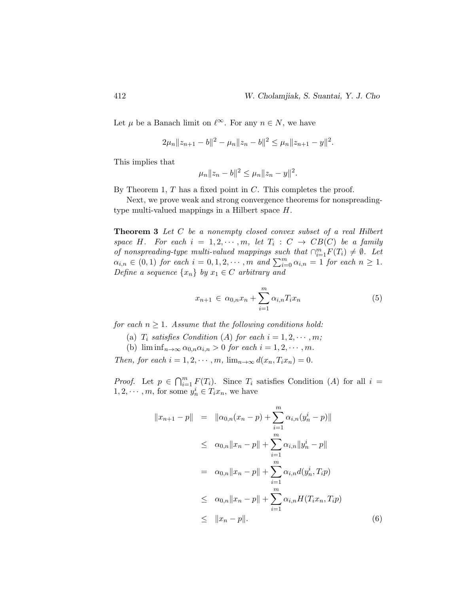Let  $\mu$  be a Banach limit on  $\ell^{\infty}$ . For any  $n \in N$ , we have

$$
2\mu_n||z_{n+1}-b||^2 - \mu_n||z_n - b||^2 \le \mu_n||z_{n+1} - y||^2.
$$

This implies that

$$
\mu_n||z_n - b||^2 \le \mu_n||z_n - y||^2.
$$

By Theorem 1,  $T$  has a fixed point in  $C$ . This completes the proof.

Next, we prove weak and strong convergence theorems for nonspreadingtype multi-valued mappings in a Hilbert space H.

Theorem 3 Let C be a nonempty closed convex subset of a real Hilbert space H. For each  $i = 1, 2, \dots, m$ , let  $T_i : C \rightarrow CB(C)$  be a family of nonspreading-type multi-valued mappings such that  $\bigcap_{i=1}^{m} F(T_i) \neq \emptyset$ . Let  $\alpha_{i,n} \in (0,1)$  for each  $i = 0,1,2,\cdots,m$  and  $\sum_{i=0}^{m} \alpha_{i,n} = 1$  for each  $n \geq 1$ . Define a sequence  $\{x_n\}$  by  $x_1 \in C$  arbitrary and

$$
x_{n+1} \in \alpha_{0,n} x_n + \sum_{i=1}^m \alpha_{i,n} T_i x_n \tag{5}
$$

for each  $n \geq 1$ . Assume that the following conditions hold:

- (a)  $T_i$  satisfies Condition (A) for each  $i = 1, 2, \cdots, m;$
- (b)  $\liminf_{n\to\infty} \alpha_{0,n}\alpha_{i,n} > 0$  for each  $i = 1, 2, \cdots, m$ .

Then, for each  $i = 1, 2, \dots, m$ ,  $\lim_{n \to \infty} d(x_n, T_i x_n) = 0$ .

*Proof.* Let  $p \in \bigcap_{i=1}^m F(T_i)$ . Since  $T_i$  satisfies Condition (A) for all  $i =$  $1, 2, \dots, m$ , for some  $y_n^i \in T_i x_n$ , we have

$$
||x_{n+1} - p|| = ||\alpha_{0,n}(x_n - p) + \sum_{i=1}^m \alpha_{i,n}(y_n^i - p)||
$$
  
\n
$$
\leq \alpha_{0,n} ||x_n - p|| + \sum_{i=1}^m \alpha_{i,n} ||y_n^i - p||
$$
  
\n
$$
= \alpha_{0,n} ||x_n - p|| + \sum_{i=1}^m \alpha_{i,n} d(y_n^i, T_i p)
$$
  
\n
$$
\leq \alpha_{0,n} ||x_n - p|| + \sum_{i=1}^m \alpha_{i,n} H(T_i x_n, T_i p)
$$
  
\n
$$
\leq ||x_n - p||. \tag{6}
$$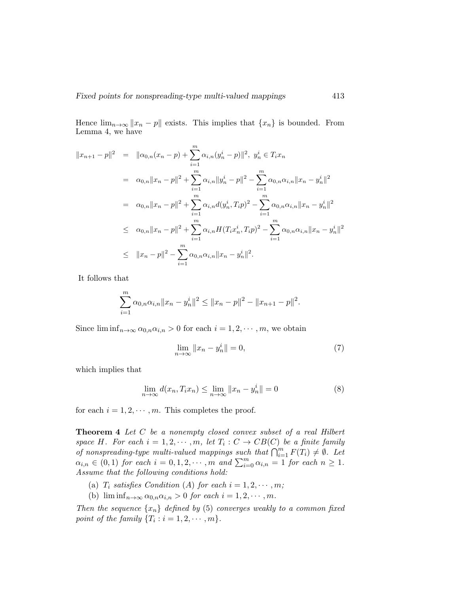Hence  $\lim_{n\to\infty} ||x_n - p||$  exists. This implies that  $\{x_n\}$  is bounded. From Lemma 4, we have

$$
||x_{n+1} - p||^2 = ||\alpha_{0,n}(x_n - p) + \sum_{i=1}^m \alpha_{i,n}(y_n^i - p)||^2, \ y_n^i \in T_i x_n
$$
  
\n
$$
= \alpha_{0,n} ||x_n - p||^2 + \sum_{i=1}^m \alpha_{i,n} ||y_n^i - p||^2 - \sum_{i=1}^m \alpha_{0,n} \alpha_{i,n} ||x_n - y_n^i||^2
$$
  
\n
$$
= \alpha_{0,n} ||x_n - p||^2 + \sum_{i=1}^m \alpha_{i,n} d(y_n^i, T_i p)^2 - \sum_{i=1}^m \alpha_{0,n} \alpha_{i,n} ||x_n - y_n^i||^2
$$
  
\n
$$
\leq \alpha_{0,n} ||x_n - p||^2 + \sum_{i=1}^m \alpha_{i,n} H(T_i x_n^i, T_i p)^2 - \sum_{i=1}^m \alpha_{0,n} \alpha_{i,n} ||x_n - y_n^i||^2
$$
  
\n
$$
\leq ||x_n - p||^2 - \sum_{i=1}^m \alpha_{0,n} \alpha_{i,n} ||x_n - y_n^i||^2.
$$

It follows that

$$
\sum_{i=1}^{m} \alpha_{0,n} \alpha_{i,n} \|x_n - y_n^i\|^2 \le \|x_n - p\|^2 - \|x_{n+1} - p\|^2.
$$

Since  $\liminf_{n\to\infty} \alpha_{0,n}\alpha_{i,n} > 0$  for each  $i = 1, 2, \cdots, m$ , we obtain

$$
\lim_{n \to \infty} ||x_n - y_n^i|| = 0,\t\t(7)
$$

which implies that

$$
\lim_{n \to \infty} d(x_n, T_i x_n) \le \lim_{n \to \infty} ||x_n - y_n|| = 0 \tag{8}
$$

for each  $i = 1, 2, \dots, m$ . This completes the proof.

Theorem 4 Let C be a nonempty closed convex subset of a real Hilbert space H. For each  $i = 1, 2, \dots, m$ , let  $T_i : C \to CB(C)$  be a finite family of nonspreading-type multi-valued mappings such that  $\bigcap_{i=1}^m F(T_i) \neq \emptyset$ . Let  $\alpha_{i,n} \in (0,1)$  for each  $i = 0,1,2,\cdots,m$  and  $\sum_{i=0}^{m} \alpha_{i,n} = 1$  for each  $n \geq 1$ . Assume that the following conditions hold:

- (a)  $T_i$  satisfies Condition (A) for each  $i = 1, 2, \cdots, m;$
- (b)  $\liminf_{n\to\infty} \alpha_{0,n}\alpha_{i,n} > 0$  for each  $i = 1, 2, \cdots, m$ .

Then the sequence  $\{x_n\}$  defined by (5) converges weakly to a common fixed point of the family  $\{T_i : i = 1, 2, \cdots, m\}.$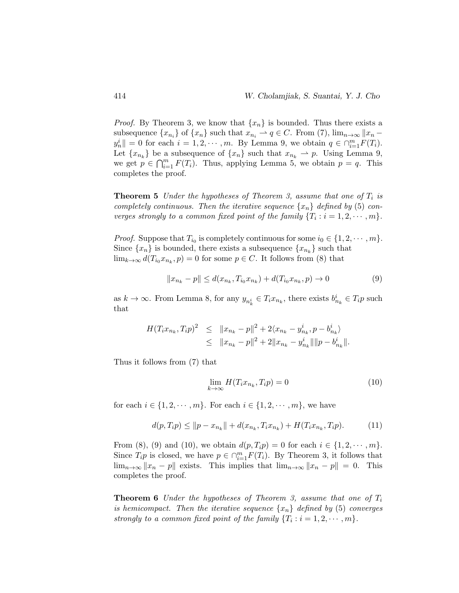*Proof.* By Theorem 3, we know that  $\{x_n\}$  is bounded. Thus there exists a subsequence  $\{x_{n_i}\}\$  of  $\{x_n\}$  such that  $x_{n_i} \to q \in C$ . From (7),  $\lim_{n \to \infty} ||x_n - x_{n_i}||$  $y_n^i$  = 0 for each  $i = 1, 2, \dots, m$ . By Lemma 9, we obtain  $q \in \bigcap_{i=1}^m F(T_i)$ . Let  $\{x_{n_k}\}\$ be a subsequence of  $\{x_n\}$  such that  $x_{n_k} \to p$ . Using Lemma 9, we get  $p \in \bigcap_{i=1}^m F(T_i)$ . Thus, applying Lemma 5, we obtain  $p = q$ . This completes the proof.

**Theorem 5** Under the hypotheses of Theorem 3, assume that one of  $T_i$  is completely continuous. Then the iterative sequence  $\{x_n\}$  defined by (5) converges strongly to a common fixed point of the family  $\{T_i : i = 1, 2, \dots, m\}.$ 

*Proof.* Suppose that  $T_{i_0}$  is completely continuous for some  $i_0 \in \{1, 2, \dots, m\}$ . Since  $\{x_n\}$  is bounded, there exists a subsequence  $\{x_{n_k}\}$  such that  $\lim_{k\to\infty} d(T_{i_0}x_{n_k}, p) = 0$  for some  $p \in C$ . It follows from (8) that

$$
||x_{n_k} - p|| \le d(x_{n_k}, T_{i_0} x_{n_k}) + d(T_{i_0} x_{n_k}, p) \to 0
$$
\n(9)

as  $k \to \infty$ . From Lemma 8, for any  $y_{n_k^i} \in T_i x_{n_k}$ , there exists  $b_{n_k}^i \in T_i p$  such that

$$
H(T_i x_{n_k}, T_i p)^2 \leq \|x_{n_k} - p\|^2 + 2\langle x_{n_k} - y_{n_k}^i, p - b_{n_k}^i \rangle
$$
  

$$
\leq \|x_{n_k} - p\|^2 + 2\|x_{n_k} - y_{n_k}^i\| \|p - b_{n_k}^i\|.
$$

Thus it follows from (7) that

$$
\lim_{k \to \infty} H(T_i x_{n_k}, T_i p) = 0 \tag{10}
$$

for each  $i \in \{1, 2, \dots, m\}$ . For each  $i \in \{1, 2, \dots, m\}$ , we have

$$
d(p,T_i p) \le ||p - x_{n_k}|| + d(x_{n_k}, T_i x_{n_k}) + H(T_i x_{n_k}, T_i p). \tag{11}
$$

From (8), (9) and (10), we obtain  $d(p, T_i p) = 0$  for each  $i \in \{1, 2, \dots, m\}.$ Since  $T_i p$  is closed, we have  $p \in \bigcap_{i=1}^m F(T_i)$ . By Theorem 3, it follows that  $\lim_{n\to\infty} ||x_n - p||$  exists. This implies that  $\lim_{n\to\infty} ||x_n - p|| = 0$ . This completes the proof.

**Theorem 6** Under the hypotheses of Theorem 3, assume that one of  $T_i$ is hemicompact. Then the iterative sequence  $\{x_n\}$  defined by (5) converges strongly to a common fixed point of the family  $\{T_i : i = 1, 2, \dots, m\}.$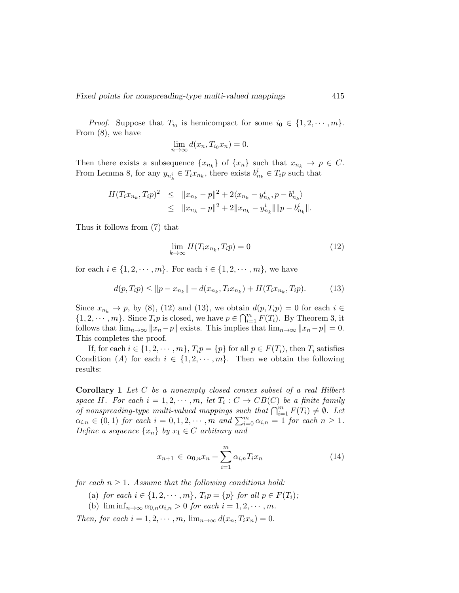*Proof.* Suppose that  $T_{i_0}$  is hemicompact for some  $i_0 \in \{1, 2, \dots, m\}.$ From (8), we have

$$
\lim_{n \to \infty} d(x_n, T_{i_0} x_n) = 0.
$$

Then there exists a subsequence  $\{x_{n_k}\}\$  of  $\{x_n\}$  such that  $x_{n_k} \to p \in C$ . From Lemma 8, for any  $y_{n_k^i} \in T_i x_{n_k}$ , there exists  $b_{n_k}^i \in T_i p$  such that

$$
H(T_i x_{n_k}, T_i p)^2 \leq ||x_{n_k} - p||^2 + 2\langle x_{n_k} - y_{n_k}^i, p - b_{n_k}^i \rangle
$$
  

$$
\leq ||x_{n_k} - p||^2 + 2||x_{n_k} - y_{n_k}^i|| ||p - b_{n_k}^i||.
$$

Thus it follows from (7) that

$$
\lim_{k \to \infty} H(T_i x_{n_k}, T_i p) = 0 \tag{12}
$$

for each  $i \in \{1, 2, \dots, m\}$ . For each  $i \in \{1, 2, \dots, m\}$ , we have

$$
d(p,T_i p) \le ||p - x_{n_k}|| + d(x_{n_k}, T_i x_{n_k}) + H(T_i x_{n_k}, T_i p). \tag{13}
$$

Since  $x_{n_k} \to p$ , by (8), (12) and (13), we obtain  $d(p,T_i p) = 0$  for each  $i \in$  $\{1, 2, \cdots, m\}$ . Since  $T_i p$  is closed, we have  $p \in \bigcap_{i=1}^m F(T_i)$ . By Theorem 3, it follows that  $\lim_{n\to\infty} ||x_n-p||$  exists. This implies that  $\lim_{n\to\infty} ||x_n-p|| = 0$ . This completes the proof.

If, for each  $i \in \{1, 2, \dots, m\}$ ,  $T_i p = \{p\}$  for all  $p \in F(T_i)$ , then  $T_i$  satisfies Condition (A) for each  $i \in \{1, 2, \dots, m\}$ . Then we obtain the following results:

Corollary 1 Let C be a nonempty closed convex subset of a real Hilbert space H. For each  $i = 1, 2, \dots, m$ , let  $T_i : C \to CB(C)$  be a finite family of nonspreading-type multi-valued mappings such that  $\bigcap_{i=1}^m F(T_i) \neq \emptyset$ . Let  $\alpha_{i,n} \in (0,1)$  for each  $i = 0,1,2,\cdots,m$  and  $\sum_{i=0}^{m} \alpha_{i,n} = 1$  for each  $n \geq 1$ . Define a sequence  $\{x_n\}$  by  $x_1 \in C$  arbitrary and

$$
x_{n+1} \in \alpha_{0,n} x_n + \sum_{i=1}^m \alpha_{i,n} T_i x_n \tag{14}
$$

for each  $n \geq 1$ . Assume that the following conditions hold:

- (a) for each  $i \in \{1, 2, \cdots, m\}$ ,  $T_i p = \{p\}$  for all  $p \in F(T_i)$ ;
- (b)  $\liminf_{n\to\infty} \alpha_{0,n}\alpha_{i,n} > 0$  for each  $i = 1, 2, \cdots, m$ .

Then, for each  $i = 1, 2, \dots, m$ ,  $\lim_{n \to \infty} d(x_n, T_i x_n) = 0$ .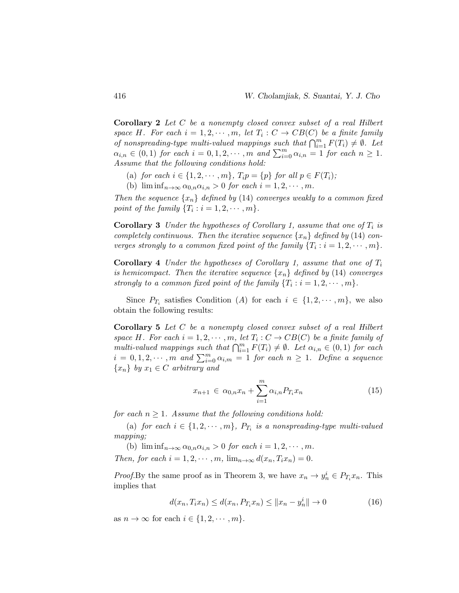Corollary 2 Let C be a nonempty closed convex subset of a real Hilbert space H. For each  $i = 1, 2, \dots, m$ , let  $T_i : C \to CB(C)$  be a finite family of nonspreading-type multi-valued mappings such that  $\bigcap_{i=1}^m F(T_i) \neq \emptyset$ . Let  $\alpha_{i,n} \in (0,1)$  for each  $i = 0,1,2,\cdots,m$  and  $\sum_{i=0}^{m} \alpha_{i,n} = 1$  for each  $n \geq 1$ . Assume that the following conditions hold:

- (a) for each  $i \in \{1, 2, \cdots, m\}$ ,  $T_i p = \{p\}$  for all  $p \in F(T_i)$ ;
- (b)  $\liminf_{n\to\infty} \alpha_{0,n}\alpha_{i,n} > 0$  for each  $i = 1, 2, \cdots, m$ .

Then the sequence  $\{x_n\}$  defined by (14) converges weakly to a common fixed point of the family  $\{T_i : i = 1, 2, \cdots, m\}.$ 

**Corollary 3** Under the hypotheses of Corollary 1, assume that one of  $T_i$  is completely continuous. Then the iterative sequence  $\{x_n\}$  defined by (14) converges strongly to a common fixed point of the family  $\{T_i : i = 1, 2, \cdots, m\}$ .

**Corollary 4** Under the hypotheses of Corollary 1, assume that one of  $T_i$ is hemicompact. Then the iterative sequence  $\{x_n\}$  defined by (14) converges strongly to a common fixed point of the family  $\{T_i : i = 1, 2, \dots, m\}.$ 

Since  $P_{T_i}$  satisfies Condition (A) for each  $i \in \{1, 2, \cdots, m\}$ , we also obtain the following results:

Corollary 5 Let C be a nonempty closed convex subset of a real Hilbert space H. For each  $i = 1, 2, \cdots, m$ , let  $T_i : C \to CB(C)$  be a finite family of multi-valued mappings such that  $\bigcap_{i=1}^{m} F(T_i) \neq \emptyset$ . Let  $\alpha_{i,n} \in (0,1)$  for each  $i = 0, 1, 2, \dots, m$  and  $\sum_{i=0}^{m} \alpha_{i,m} = 1$  for each  $n \geq 1$ . Define a sequence  $\{x_n\}$  by  $x_1 \in C$  arbitrary and

$$
x_{n+1} \in \alpha_{0,n} x_n + \sum_{i=1}^m \alpha_{i,n} P_{T_i} x_n \tag{15}
$$

for each  $n \geq 1$ . Assume that the following conditions hold:

(a) for each  $i \in \{1, 2, \cdots, m\}$ ,  $P_{T_i}$  is a nonspreading-type multi-valued mapping;

(b)  $\liminf_{n\to\infty} \alpha_{0,n}\alpha_{i,n} > 0$  for each  $i = 1, 2, \cdots, m$ . Then, for each  $i = 1, 2, \cdots, m$ ,  $\lim_{n \to \infty} d(x_n, T_i x_n) = 0$ .

*Proof.* By the same proof as in Theorem 3, we have  $x_n \to y_n^i \in P_{T_i} x_n$ . This implies that

$$
d(x_n, T_i x_n) \le d(x_n, P_{T_i} x_n) \le ||x_n - y_n|| \to 0
$$
\n(16)

as  $n \to \infty$  for each  $i \in \{1, 2, \cdots, m\}.$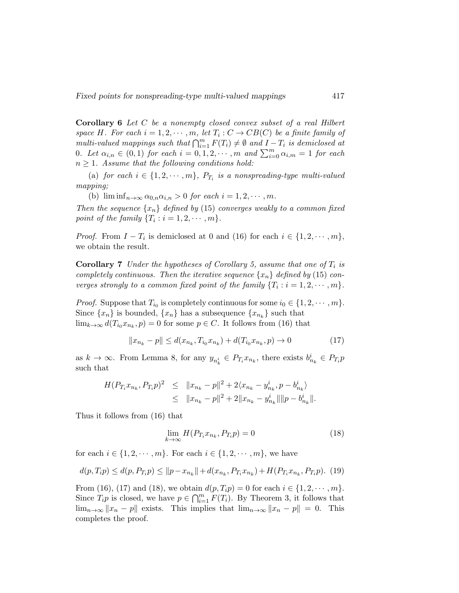Corollary 6 Let C be a nonempty closed convex subset of a real Hilbert space H. For each  $i = 1, 2, \cdots, m$ , let  $T_i : C \to CB(C)$  be a finite family of multi-valued mappings such that  $\bigcap_{i=1}^m F(T_i) \neq \emptyset$  and  $I - T_i$  is demiclosed at 0. Let  $\alpha_{i,n} \in (0,1)$  for each  $i=0,1,2,\cdots,m$  and  $\sum_{i=0}^{m} \alpha_{i,m} = 1$  for each  $n \geq 1$ . Assume that the following conditions hold:

(a) for each  $i \in \{1, 2, \cdots, m\}$ ,  $P_{T_i}$  is a nonspreading-type multi-valued mapping;

(b)  $\liminf_{n\to\infty} \alpha_{0,n}\alpha_{i,n} > 0$  for each  $i = 1, 2, \cdots, m$ .

Then the sequence  $\{x_n\}$  defined by (15) converges weakly to a common fixed point of the family  $\{T_i : i = 1, 2, \cdots, m\}.$ 

*Proof.* From  $I - T_i$  is demiclosed at 0 and (16) for each  $i \in \{1, 2, \dots, m\}$ , we obtain the result.

**Corollary 7** Under the hypotheses of Corollary 5, assume that one of  $T_i$  is completely continuous. Then the iterative sequence  $\{x_n\}$  defined by (15) converges strongly to a common fixed point of the family  $\{T_i : i = 1, 2, \dots, m\}.$ 

*Proof.* Suppose that  $T_{i_0}$  is completely continuous for some  $i_0 \in \{1, 2, \dots, m\}$ . Since  $\{x_n\}$  is bounded,  $\{x_n\}$  has a subsequence  $\{x_{n_k}\}$  such that  $\lim_{k\to\infty} d(T_{i_0}x_{n_k}, p) = 0$  for some  $p \in C$ . It follows from (16) that

$$
||x_{n_k} - p|| \le d(x_{n_k}, T_{i_0} x_{n_k}) + d(T_{i_0} x_{n_k}, p) \to 0
$$
\n(17)

as  $k \to \infty$ . From Lemma 8, for any  $y_{n_k^i} \in P_{T_i} x_{n_k}$ , there exists  $b_{n_k}^i \in P_{T_i} p$ such that

$$
H(P_{T_i}x_{n_k}, P_{T_i}p)^2 \leq ||x_{n_k} - p||^2 + 2\langle x_{n_k} - y_{n_k}^i, p - b_{n_k}^i \rangle
$$
  

$$
\leq ||x_{n_k} - p||^2 + 2||x_{n_k} - y_{n_k}^i|| ||p - b_{n_k}^i||.
$$

Thus it follows from (16) that

$$
\lim_{k \to \infty} H(P_{T_i} x_{n_k}, P_{T_i} p) = 0 \tag{18}
$$

for each  $i \in \{1, 2, \dots, m\}$ . For each  $i \in \{1, 2, \dots, m\}$ , we have

$$
d(p,T_i p) \le d(p, P_{T_i} p) \le ||p - x_{n_k}|| + d(x_{n_k}, P_{T_i} x_{n_k}) + H(P_{T_i} x_{n_k}, P_{T_i} p). \tag{19}
$$

From (16), (17) and (18), we obtain  $d(p, T_i p) = 0$  for each  $i \in \{1, 2, \dots, m\}$ . Since  $T_i p$  is closed, we have  $p \in \bigcap_{i=1}^m F(T_i)$ . By Theorem 3, it follows that  $\lim_{n\to\infty} ||x_n - p||$  exists. This implies that  $\lim_{n\to\infty} ||x_n - p|| = 0$ . This completes the proof.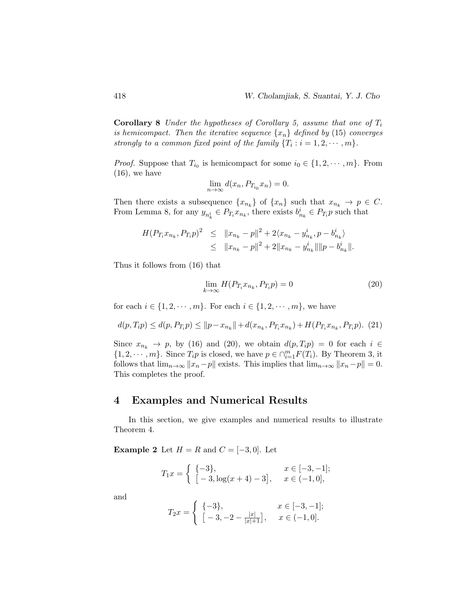**Corollary 8** Under the hypotheses of Corollary 5, assume that one of  $T_i$ is hemicompact. Then the iterative sequence  $\{x_n\}$  defined by (15) converges strongly to a common fixed point of the family  $\{T_i : i = 1, 2, \dots, m\}.$ 

*Proof.* Suppose that  $T_{i_0}$  is hemicompact for some  $i_0 \in \{1, 2, \dots, m\}$ . From  $(16)$ , we have

$$
\lim_{n \to \infty} d(x_n, P_{T_{i_0}} x_n) = 0.
$$

Then there exists a subsequence  $\{x_{n_k}\}\$  of  $\{x_n\}$  such that  $x_{n_k} \to p \in C$ . From Lemma 8, for any  $y_{n_k^i} \in P_{T_i} x_{n_k}$ , there exists  $b_{n_k}^i \in P_{T_i} p$  such that

$$
H(P_{T_i}x_{n_k}, P_{T_i}p)^2 \leq ||x_{n_k} - p||^2 + 2\langle x_{n_k} - y_{n_k}^i, p - b_{n_k}^i \rangle
$$
  

$$
\leq ||x_{n_k} - p||^2 + 2||x_{n_k} - y_{n_k}^i|| ||p - b_{n_k}^i||.
$$

Thus it follows from (16) that

$$
\lim_{k \to \infty} H(P_{T_i} x_{n_k}, P_{T_i} p) = 0 \tag{20}
$$

for each  $i \in \{1, 2, \dots, m\}$ . For each  $i \in \{1, 2, \dots, m\}$ , we have

$$
d(p, T_i p) \le d(p, P_{T_i} p) \le ||p - x_{n_k}|| + d(x_{n_k}, P_{T_i} x_{n_k}) + H(P_{T_i} x_{n_k}, P_{T_i} p). (21)
$$

Since  $x_{n_k} \to p$ , by (16) and (20), we obtain  $d(p, T_i p) = 0$  for each  $i \in$  $\{1, 2, \dots, m\}$ . Since  $T_i p$  is closed, we have  $p \in \bigcap_{i=1}^m F(T_i)$ . By Theorem 3, it follows that  $\lim_{n\to\infty} ||x_n-p||$  exists. This implies that  $\lim_{n\to\infty} ||x_n-p|| = 0$ . This completes the proof.

#### 4 Examples and Numerical Results

In this section, we give examples and numerical results to illustrate Theorem 4.

**Example 2** Let  $H = R$  and  $C = [-3, 0]$ . Let

$$
T_1 x = \begin{cases} \{-3\}, & x \in [-3, -1]; \\ [-3, \log(x+4) - 3], & x \in (-1, 0], \end{cases}
$$

and

$$
T_2 x = \begin{cases} \{-3\}, & x \in [-3, -1]; \\ [-3, -2 - \frac{|x|}{|x|+1}], & x \in (-1, 0]. \end{cases}
$$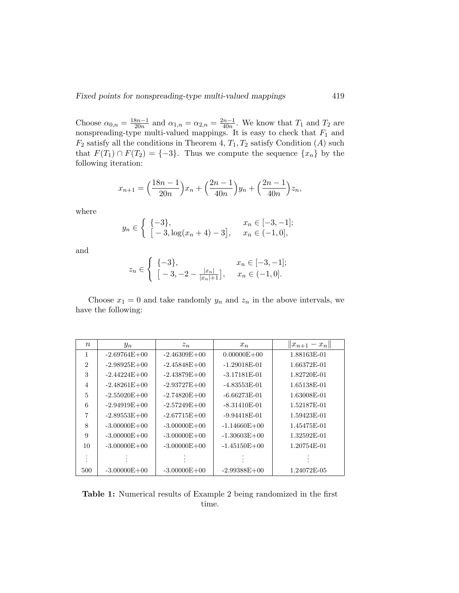Choose  $\alpha_{0,n} = \frac{18n-1}{20n}$  $\frac{3n-1}{20n}$  and  $\alpha_{1,n} = \alpha_{2,n} = \frac{2n-1}{40n}$  $\frac{m-1}{40n}$ . We know that  $T_1$  and  $T_2$  are nonspreading-type multi-valued mappings. It is easy to check that  $F_1$  and  $F_2$  satisfy all the conditions in Theorem 4,  $T_1, T_2$  satisfy Condition (A) such that  $F(T_1) \cap F(T_2) = \{-3\}$ . Thus we compute the sequence  $\{x_n\}$  by the following iteration:

$$
x_{n+1} = \left(\frac{18n-1}{20n}\right)x_n + \left(\frac{2n-1}{40n}\right)y_n + \left(\frac{2n-1}{40n}\right)z_n,
$$

where

$$
y_n \in \begin{cases} \{-3\}, & x_n \in [-3, -1]; \\ [-3, \log(x_n + 4) - 3], & x_n \in (-1, 0], \end{cases}
$$

and

$$
z_n \in \left\{ \begin{array}{ll} \{-3\}, & x_n \in [-3, -1]; \\ \left[-3, -2 - \frac{|x_n|}{|x_n|+1}\right], & x_n \in (-1, 0]. \end{array} \right.
$$

Choose  $x_1 = 0$  and take randomly  $y_n$  and  $z_n$  in the above intervals, we have the following:

| $\, n$         | $y_n$            | $z_n$            | $x_n$            | $  x_{n+1}-x_n  $ |
|----------------|------------------|------------------|------------------|-------------------|
| 1              | $-2.69764E + 00$ | $-2.46309E + 00$ | $0.00000E + 00$  | 1.88163E-01       |
| $\overline{2}$ | $-2.98925E+00$   | $-2.45848E + 00$ | $-1.29018E-01$   | 1.66372E-01       |
| 3              | $-2.44224E + 00$ | $-2.43879E + 00$ | $-3.17181E-01$   | 1.82720E-01       |
| $\overline{4}$ | $-2.48261E+00$   | $-2.93727E + 00$ | $-4.83553E-01$   | 1.65138E-01       |
| $\overline{5}$ | $-2.55020E + 00$ | $-2.74820E + 00$ | $-6.66273E-01$   | 1.63008E-01       |
| 6              | $-2.94919E + 00$ | $-2.57249E + 00$ | $-8.31410E-01$   | 1.52187E-01       |
| 7              | $-2.89553E+00$   | $-2.67715E + 00$ | $-9.94418E-01$   | 1.59423E-01       |
| 8              | $-3.00000E + 00$ | $-3.00000E + 00$ | $-1.14660E + 00$ | 1.45475E-01       |
| 9              | $-3.00000E + 00$ | $-3.00000E + 00$ | $-1.30603E + 00$ | 1.32592E-01       |
| 10             | $-3.00000E + 00$ | $-3.00000E + 00$ | $-1.45150E + 00$ | 1.20754E-01       |
|                |                  |                  |                  |                   |
| 500            | $-3.00000E + 00$ | $-3.00000E + 00$ | $-2.99388E + 00$ | 1.24072E-05       |

Table 1: Numerical results of Example 2 being randomized in the first time.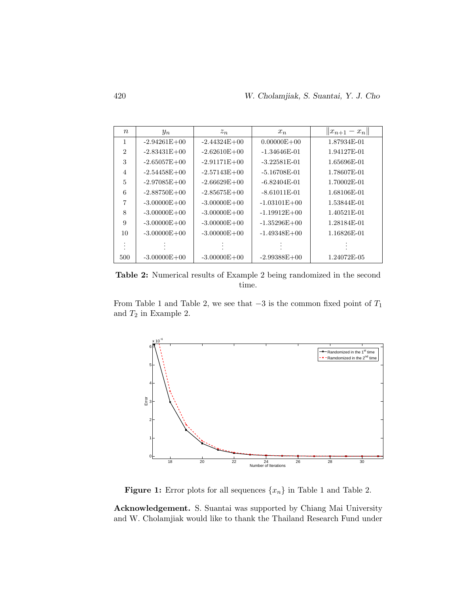| $\boldsymbol{n}$ | $y_n$            | $z_n$            | $x_n$            | $  x_{n+1}-x_n  $ |
|------------------|------------------|------------------|------------------|-------------------|
| 1                | $-2.94261E + 00$ | $-2.44324E + 00$ | $0.00000E + 00$  | 1.87934E-01       |
| $\overline{2}$   | $-2.83431E + 00$ | $-2.62610E + 00$ | -1.34646E-01     | 1.94127E-01       |
| 3                | $-2.65057E + 00$ | $-2.91171E+00$   | $-3.22581E-01$   | 1.65696E-01       |
| $\overline{4}$   | $-2.54458E + 00$ | $-2.57143E + 00$ | -5.16708E-01     | 1.78607E-01       |
| 5                | $-2.97085E + 00$ | $-2.66629E + 00$ | $-6.82404E-01$   | 1.70002E-01       |
| 6                | $-2.88750E + 00$ | $-2.85675E + 00$ | $-8.61011E-01$   | 1.68106E-01       |
| 7                | $-3.00000E + 00$ | $-3.00000E + 00$ | $-1.03101E + 00$ | 1.53844E-01       |
| 8                | $-3.00000E + 00$ | $-3.00000E + 00$ | $-1.19912E+00$   | 1.40521E-01       |
| 9                | $-3.00000E + 00$ | $-3.00000E + 00$ | $-1.35296E + 00$ | 1.28184E-01       |
| 10               | $-3.00000E + 00$ | $-3.00000E + 00$ | $-1.49348E + 00$ | 1.16826E-01       |
|                  |                  |                  |                  |                   |
| 500              | $-3.00000E + 00$ | $-3.00000E + 00$ | $-2.99388E + 00$ | 1.24072E-05       |

Table 2: Numerical results of Example 2 being randomized in the second time.

From Table 1 and Table 2, we see that  $-3$  is the common fixed point of  $T_1$ and  $T_2$  in Example 2.  $\,$ 



**Figure 1:** Error plots for all sequences  $\{x_n\}$  in Table 1 and Table 2.

Acknowledgement. S. Suantai was supported by Chiang Mai University and W. Cholamjiak would like to thank the Thailand Research Fund under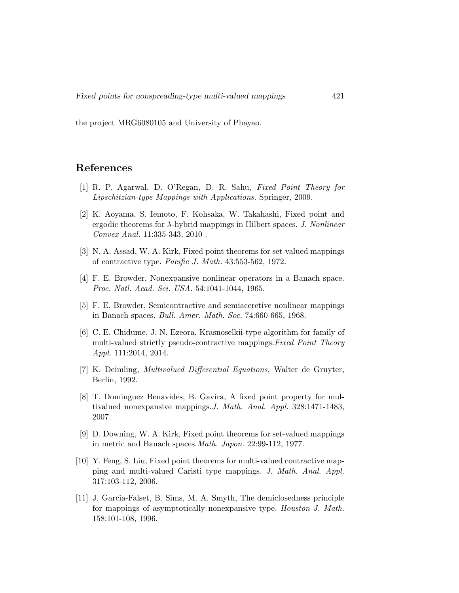the project MRG6080105 and University of Phayao.

## References

- [1] R. P. Agarwal, D. O'Regan, D. R. Sahu, Fixed Point Theory for Lipschitzian-type Mappings with Applications. Springer, 2009.
- [2] K. Aoyama, S. Iemoto, F. Kohsaka, W. Takahashi, Fixed point and ergodic theorems for  $\lambda$ -hybrid mappings in Hilbert spaces. J. Nonlinear Convex Anal. 11:335-343, 2010 .
- [3] N. A. Assad, W. A. Kirk, Fixed point theorems for set-valued mappings of contractive type. Pacific J. Math. 43:553-562, 1972.
- [4] F. E. Browder, Nonexpansive nonlinear operators in a Banach space. Proc. Natl. Acad. Sci. USA. 54:1041-1044, 1965.
- [5] F. E. Browder, Semicontractive and semiaccretive nonlinear mappings in Banach spaces. Bull. Amer. Math. Soc. 74:660-665, 1968.
- [6] C. E. Chidume, J. N. Ezeora, Krasnoselkii-type algorithm for family of multi-valued strictly pseudo-contractive mappings.Fixed Point Theory Appl. 111:2014, 2014.
- [7] K. Deimling, Multivalued Differential Equations, Walter de Gruyter, Berlin, 1992.
- [8] T. Dominguez Benavides, B. Gavira, A fixed point property for multivalued nonexpansive mappings.J. Math. Anal. Appl. 328:1471-1483, 2007.
- [9] D. Downing, W. A. Kirk, Fixed point theorems for set-valued mappings in metric and Banach spaces.Math. Japon. 22:99-112, 1977.
- [10] Y. Feng, S. Liu, Fixed point theorems for multi-valued contractive mapping and multi-valued Caristi type mappings. J. Math. Anal. Appl. 317:103-112, 2006.
- [11] J. Garcia-Falset, B. Sims, M. A. Smyth, The demiclosedness principle for mappings of asymptotically nonexpansive type. Houston J. Math. 158:101-108, 1996.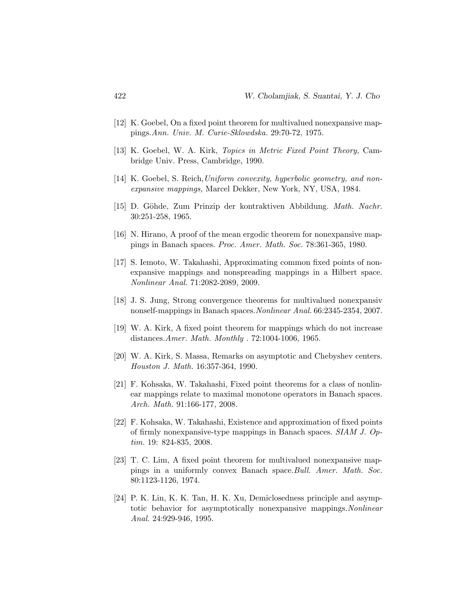- [12] K. Goebel, On a fixed point theorem for multivalued nonexpansive mappings.Ann. Univ. M. Curie-Sklowdska. 29:70-72, 1975.
- [13] K. Goebel, W. A. Kirk, Topics in Metric Fixed Point Theory, Cambridge Univ. Press, Cambridge, 1990.
- [14] K. Goebel, S. Reich,Uniform convexity, hyperbolic geometry, and nonexpansive mappings, Marcel Dekker, New York, NY, USA, 1984.
- [15] D. Göhde, Zum Prinzip der kontraktiven Abbildung. Math. Nachr. 30:251-258, 1965.
- [16] N. Hirano, A proof of the mean ergodic theorem for nonexpansive mappings in Banach spaces. Proc. Amer. Math. Soc. 78:361-365, 1980.
- [17] S. Iemoto, W. Takahashi, Approximating common fixed points of nonexpansive mappings and nonspreading mappings in a Hilbert space. Nonlinear Anal. 71:2082-2089, 2009.
- [18] J. S. Jung, Strong convergence theorems for multivalued nonexpansiv nonself-mappings in Banach spaces.Nonlinear Anal. 66:2345-2354, 2007.
- [19] W. A. Kirk, A fixed point theorem for mappings which do not increase distances.Amer. Math. Monthly . 72:1004-1006, 1965.
- [20] W. A. Kirk, S. Massa, Remarks on asymptotic and Chebyshev centers. Houston J. Math. 16:357-364, 1990.
- [21] F. Kohsaka, W. Takahashi, Fixed point theorems for a class of nonlinear mappings relate to maximal monotone operators in Banach spaces. Arch. Math. 91:166-177, 2008.
- [22] F. Kohsaka, W. Takahashi, Existence and approximation of fixed points of firmly nonexpansive-type mappings in Banach spaces. SIAM J. Optim. 19: 824-835, 2008.
- [23] T. C. Lim, A fixed point theorem for multivalued nonexpansive mappings in a uniformly convex Banach space.Bull. Amer. Math. Soc. 80:1123-1126, 1974.
- [24] P. K. Lin, K. K. Tan, H. K. Xu, Demiclosedness principle and asymptotic behavior for asymptotically nonexpansive mappings.Nonlinear Anal. 24:929-946, 1995.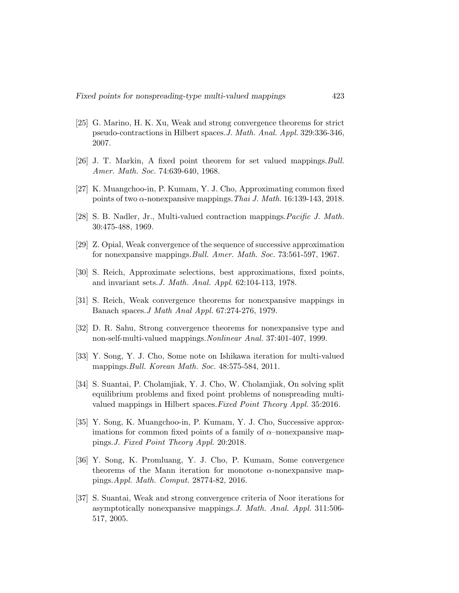- [25] G. Marino, H. K. Xu, Weak and strong convergence theorems for strict pseudo-contractions in Hilbert spaces.J. Math. Anal. Appl. 329:336-346, 2007.
- [26] J. T. Markin, A fixed point theorem for set valued mappings. Bull. Amer. Math. Soc. 74:639-640, 1968.
- [27] K. Muangchoo-in, P. Kumam, Y. J. Cho, Approximating common fixed points of two  $\alpha$ -nonexpansive mappings. Thai J. Math. 16:139-143, 2018.
- [28] S. B. Nadler, Jr., Multi-valued contraction mappings.Pacific J. Math. 30:475-488, 1969.
- [29] Z. Opial, Weak convergence of the sequence of successive approximation for nonexpansive mappings.Bull. Amer. Math. Soc. 73:561-597, 1967.
- [30] S. Reich, Approximate selections, best approximations, fixed points, and invariant sets.J. Math. Anal. Appl. 62:104-113, 1978.
- [31] S. Reich, Weak convergence theorems for nonexpansive mappings in Banach spaces.J Math Anal Appl. 67:274-276, 1979.
- [32] D. R. Sahu, Strong convergence theorems for nonexpansive type and non-self-multi-valued mappings.Nonlinear Anal. 37:401-407, 1999.
- [33] Y. Song, Y. J. Cho, Some note on Ishikawa iteration for multi-valued mappings.Bull. Korean Math. Soc. 48:575-584, 2011.
- [34] S. Suantai, P. Cholamjiak, Y. J. Cho, W. Cholamjiak, On solving split equilibrium problems and fixed point problems of nonspreading multivalued mappings in Hilbert spaces.Fixed Point Theory Appl. 35:2016.
- [35] Y. Song, K. Muangchoo-in, P. Kumam, Y. J. Cho, Successive approximations for common fixed points of a family of  $\alpha$ –nonexpansive mappings.J. Fixed Point Theory Appl. 20:2018.
- [36] Y. Song, K. Promluang, Y. J. Cho, P. Kumam, Some convergence theorems of the Mann iteration for monotone  $\alpha$ -nonexpansive mappings.Appl. Math. Comput. 28774-82, 2016.
- [37] S. Suantai, Weak and strong convergence criteria of Noor iterations for asymptotically nonexpansive mappings.J. Math. Anal. Appl. 311:506- 517, 2005.